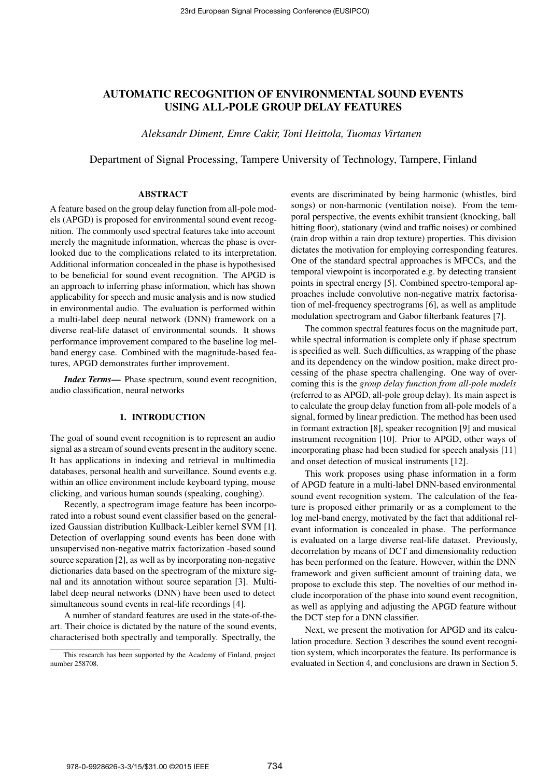# AUTOMATIC RECOGNITION OF ENVIRONMENTAL SOUND EVENTS USING ALL-POLE GROUP DELAY FEATURES

*Aleksandr Diment, Emre Cakir, Toni Heittola, Tuomas Virtanen*

Department of Signal Processing, Tampere University of Technology, Tampere, Finland

#### ABSTRACT

A feature based on the group delay function from all-pole models (APGD) is proposed for environmental sound event recognition. The commonly used spectral features take into account merely the magnitude information, whereas the phase is overlooked due to the complications related to its interpretation. Additional information concealed in the phase is hypothesised to be beneficial for sound event recognition. The APGD is an approach to inferring phase information, which has shown applicability for speech and music analysis and is now studied in environmental audio. The evaluation is performed within a multi-label deep neural network (DNN) framework on a diverse real-life dataset of environmental sounds. It shows performance improvement compared to the baseline log melband energy case. Combined with the magnitude-based features, APGD demonstrates further improvement.

*Index Terms*— Phase spectrum, sound event recognition, audio classification, neural networks

#### 1. INTRODUCTION

The goal of sound event recognition is to represent an audio signal as a stream of sound events present in the auditory scene. It has applications in indexing and retrieval in multimedia databases, personal health and surveillance. Sound events e.g. within an office environment include keyboard typing, mouse clicking, and various human sounds (speaking, coughing).

Recently, a spectrogram image feature has been incorporated into a robust sound event classifier based on the generalized Gaussian distribution Kullback-Leibler kernel SVM [1]. Detection of overlapping sound events has been done with unsupervised non-negative matrix factorization -based sound source separation [2], as well as by incorporating non-negative dictionaries data based on the spectrogram of the mixture signal and its annotation without source separation [3]. Multilabel deep neural networks (DNN) have been used to detect simultaneous sound events in real-life recordings [4].

A number of standard features are used in the state-of-theart. Their choice is dictated by the nature of the sound events, characterised both spectrally and temporally. Spectrally, the

events are discriminated by being harmonic (whistles, bird songs) or non-harmonic (ventilation noise). From the temporal perspective, the events exhibit transient (knocking, ball hitting floor), stationary (wind and traffic noises) or combined (rain drop within a rain drop texture) properties. This division dictates the motivation for employing corresponding features. One of the standard spectral approaches is MFCCs, and the temporal viewpoint is incorporated e.g. by detecting transient points in spectral energy [5]. Combined spectro-temporal approaches include convolutive non-negative matrix factorisation of mel-frequency spectrograms [6], as well as amplitude modulation spectrogram and Gabor filterbank features [7].

The common spectral features focus on the magnitude part, while spectral information is complete only if phase spectrum is specified as well. Such difficulties, as wrapping of the phase and its dependency on the window position, make direct processing of the phase spectra challenging. One way of overcoming this is the *group delay function from all-pole models* (referred to as APGD, all-pole group delay). Its main aspect is to calculate the group delay function from all-pole models of a signal, formed by linear prediction. The method has been used in formant extraction [8], speaker recognition [9] and musical instrument recognition [10]. Prior to APGD, other ways of incorporating phase had been studied for speech analysis [11] and onset detection of musical instruments [12].

This work proposes using phase information in a form of APGD feature in a multi-label DNN-based environmental sound event recognition system. The calculation of the feature is proposed either primarily or as a complement to the log mel-band energy, motivated by the fact that additional relevant information is concealed in phase. The performance is evaluated on a large diverse real-life dataset. Previously, decorrelation by means of DCT and dimensionality reduction has been performed on the feature. However, within the DNN framework and given sufficient amount of training data, we propose to exclude this step. The novelties of our method include incorporation of the phase into sound event recognition, as well as applying and adjusting the APGD feature without the DCT step for a DNN classifier.

Next, we present the motivation for APGD and its calculation procedure. Section 3 describes the sound event recognition system, which incorporates the feature. Its performance is evaluated in Section 4, and conclusions are drawn in Section 5.

This research has been supported by the Academy of Finland, project number 258708.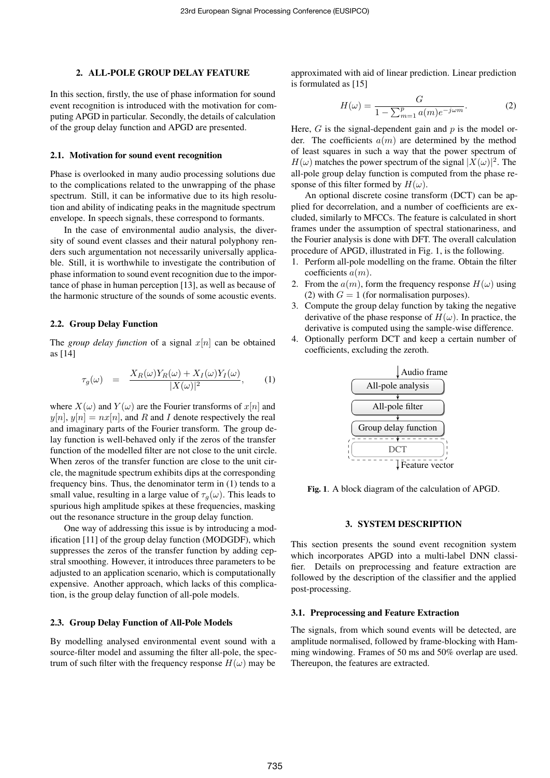#### 2. ALL-POLE GROUP DELAY FEATURE

In this section, firstly, the use of phase information for sound event recognition is introduced with the motivation for computing APGD in particular. Secondly, the details of calculation of the group delay function and APGD are presented.

#### 2.1. Motivation for sound event recognition

Phase is overlooked in many audio processing solutions due to the complications related to the unwrapping of the phase spectrum. Still, it can be informative due to its high resolution and ability of indicating peaks in the magnitude spectrum envelope. In speech signals, these correspond to formants.

In the case of environmental audio analysis, the diversity of sound event classes and their natural polyphony renders such argumentation not necessarily universally applicable. Still, it is worthwhile to investigate the contribution of phase information to sound event recognition due to the importance of phase in human perception [13], as well as because of the harmonic structure of the sounds of some acoustic events.

### 2.2. Group Delay Function

The *group delay function* of a signal  $x[n]$  can be obtained as [14]

$$
\tau_g(\omega) = \frac{X_R(\omega)Y_R(\omega) + X_I(\omega)Y_I(\omega)}{|X(\omega)|^2}, \quad (1)
$$

where  $X(\omega)$  and  $Y(\omega)$  are the Fourier transforms of  $x[n]$  and  $y[n], y[n] = nx[n]$ , and R and I denote respectively the real and imaginary parts of the Fourier transform. The group delay function is well-behaved only if the zeros of the transfer function of the modelled filter are not close to the unit circle. When zeros of the transfer function are close to the unit circle, the magnitude spectrum exhibits dips at the corresponding frequency bins. Thus, the denominator term in (1) tends to a small value, resulting in a large value of  $\tau_g(\omega)$ . This leads to spurious high amplitude spikes at these frequencies, masking out the resonance structure in the group delay function.

One way of addressing this issue is by introducing a modification [11] of the group delay function (MODGDF), which suppresses the zeros of the transfer function by adding cepstral smoothing. However, it introduces three parameters to be adjusted to an application scenario, which is computationally expensive. Another approach, which lacks of this complication, is the group delay function of all-pole models.

## 2.3. Group Delay Function of All-Pole Models

By modelling analysed environmental event sound with a source-filter model and assuming the filter all-pole, the spectrum of such filter with the frequency response  $H(\omega)$  may be

approximated with aid of linear prediction. Linear prediction is formulated as [15]

$$
H(\omega) = \frac{G}{1 - \sum_{m=1}^{p} a(m)e^{-j\omega m}}.
$$
 (2)

Here,  $G$  is the signal-dependent gain and  $p$  is the model order. The coefficients  $a(m)$  are determined by the method of least squares in such a way that the power spectrum of  $H(\omega)$  matches the power spectrum of the signal  $|X(\omega)|^2$ . The all-pole group delay function is computed from the phase response of this filter formed by  $H(\omega)$ .

An optional discrete cosine transform (DCT) can be applied for decorrelation, and a number of coefficients are excluded, similarly to MFCCs. The feature is calculated in short frames under the assumption of spectral stationariness, and the Fourier analysis is done with DFT. The overall calculation procedure of APGD, illustrated in Fig. 1, is the following.

- 1. Perform all-pole modelling on the frame. Obtain the filter coefficients  $a(m)$ .
- 2. From the  $a(m)$ , form the frequency response  $H(\omega)$  using (2) with  $G = 1$  (for normalisation purposes).
- 3. Compute the group delay function by taking the negative derivative of the phase response of  $H(\omega)$ . In practice, the derivative is computed using the sample-wise difference.
- 4. Optionally perform DCT and keep a certain number of coefficients, excluding the zeroth.



Fig. 1. A block diagram of the calculation of APGD.

## 3. SYSTEM DESCRIPTION

This section presents the sound event recognition system which incorporates APGD into a multi-label DNN classifier. Details on preprocessing and feature extraction are followed by the description of the classifier and the applied post-processing.

#### 3.1. Preprocessing and Feature Extraction

The signals, from which sound events will be detected, are amplitude normalised, followed by frame-blocking with Hamming windowing. Frames of 50 ms and 50% overlap are used. Thereupon, the features are extracted.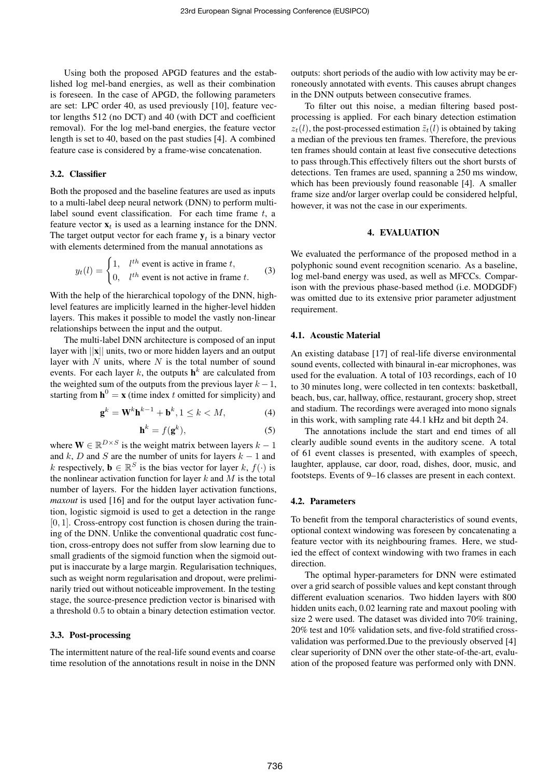Using both the proposed APGD features and the established log mel-band energies, as well as their combination is foreseen. In the case of APGD, the following parameters are set: LPC order 40, as used previously [10], feature vector lengths 512 (no DCT) and 40 (with DCT and coefficient removal). For the log mel-band energies, the feature vector length is set to 40, based on the past studies [4]. A combined feature case is considered by a frame-wise concatenation.

#### 3.2. Classifier

Both the proposed and the baseline features are used as inputs to a multi-label deep neural network (DNN) to perform multilabel sound event classification. For each time frame  $t$ , a feature vector  $x_t$  is used as a learning instance for the DNN. The target output vector for each frame  $y_t$  is a binary vector with elements determined from the manual annotations as

$$
y_t(l) = \begin{cases} 1, & l^{th} \text{ event is active in frame } t, \\ 0, & l^{th} \text{ event is not active in frame } t. \end{cases}
$$
 (3)

With the help of the hierarchical topology of the DNN, highlevel features are implicitly learned in the higher-level hidden layers. This makes it possible to model the vastly non-linear relationships between the input and the output.

The multi-label DNN architecture is composed of an input layer with  $||\mathbf{x}||$  units, two or more hidden layers and an output layer with  $N$  units, where  $N$  is the total number of sound events. For each layer k, the outputs  $h^k$  are calculated from the weighted sum of the outputs from the previous layer  $k - 1$ , starting from  $h^0 = x$  (time index t omitted for simplicity) and

$$
\mathbf{g}^k = \mathbf{W}^k \mathbf{h}^{k-1} + \mathbf{b}^k, 1 \le k < M,\tag{4}
$$

$$
\mathbf{h}^k = f(\mathbf{g}^k),\tag{5}
$$

where  $\mathbf{W} \in \mathbb{R}^{D \times S}$  is the weight matrix between layers  $k - 1$ and k, D and S are the number of units for layers  $k - 1$  and k respectively,  $\mathbf{b} \in \mathbb{R}^S$  is the bias vector for layer k,  $f(\cdot)$  is the nonlinear activation function for layer  $k$  and  $M$  is the total number of layers. For the hidden layer activation functions, *maxout* is used [16] and for the output layer activation function, logistic sigmoid is used to get a detection in the range  $[0, 1]$ . Cross-entropy cost function is chosen during the training of the DNN. Unlike the conventional quadratic cost function, cross-entropy does not suffer from slow learning due to small gradients of the sigmoid function when the sigmoid output is inaccurate by a large margin. Regularisation techniques, such as weight norm regularisation and dropout, were preliminarily tried out without noticeable improvement. In the testing stage, the source-presence prediction vector is binarised with a threshold 0.5 to obtain a binary detection estimation vector.

## 3.3. Post-processing

The intermittent nature of the real-life sound events and coarse time resolution of the annotations result in noise in the DNN

outputs: short periods of the audio with low activity may be erroneously annotated with events. This causes abrupt changes in the DNN outputs between consecutive frames.

To filter out this noise, a median filtering based postprocessing is applied. For each binary detection estimation  $z_t(l)$ , the post-processed estimation  $\tilde{z}_t(l)$  is obtained by taking a median of the previous ten frames. Therefore, the previous ten frames should contain at least five consecutive detections to pass through.This effectively filters out the short bursts of detections. Ten frames are used, spanning a 250 ms window, which has been previously found reasonable [4]. A smaller frame size and/or larger overlap could be considered helpful, however, it was not the case in our experiments.

#### 4. EVALUATION

We evaluated the performance of the proposed method in a polyphonic sound event recognition scenario. As a baseline, log mel-band energy was used, as well as MFCCs. Comparison with the previous phase-based method (i.e. MODGDF) was omitted due to its extensive prior parameter adjustment requirement.

#### 4.1. Acoustic Material

An existing database [17] of real-life diverse environmental sound events, collected with binaural in-ear microphones, was used for the evaluation. A total of 103 recordings, each of 10 to 30 minutes long, were collected in ten contexts: basketball, beach, bus, car, hallway, office, restaurant, grocery shop, street and stadium. The recordings were averaged into mono signals in this work, with sampling rate 44.1 kHz and bit depth 24.

The annotations include the start and end times of all clearly audible sound events in the auditory scene. A total of 61 event classes is presented, with examples of speech, laughter, applause, car door, road, dishes, door, music, and footsteps. Events of 9–16 classes are present in each context.

#### 4.2. Parameters

To benefit from the temporal characteristics of sound events, optional context windowing was foreseen by concatenating a feature vector with its neighbouring frames. Here, we studied the effect of context windowing with two frames in each direction.

The optimal hyper-parameters for DNN were estimated over a grid search of possible values and kept constant through different evaluation scenarios. Two hidden layers with 800 hidden units each, 0.02 learning rate and maxout pooling with size 2 were used. The dataset was divided into 70% training, 20% test and 10% validation sets, and five-fold stratified crossvalidation was performed.Due to the previously observed [4] clear superiority of DNN over the other state-of-the-art, evaluation of the proposed feature was performed only with DNN.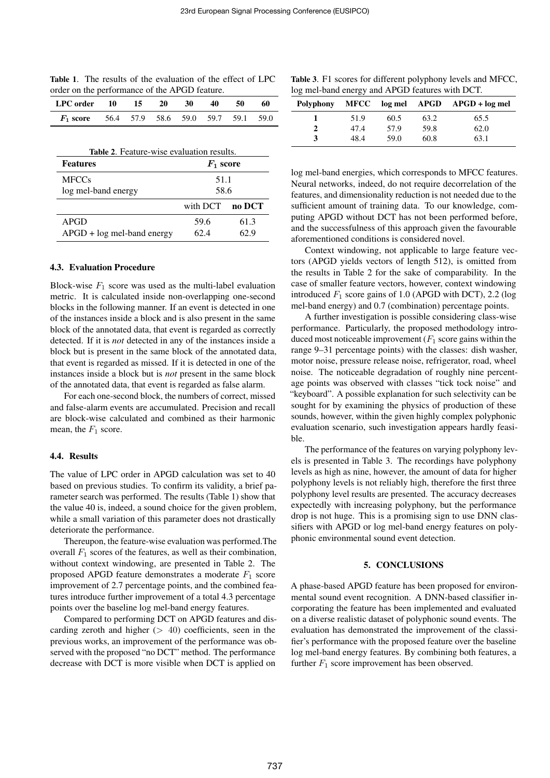|                                               |  | <b>Table 1.</b> The results of the evaluation of the effect of LPC |
|-----------------------------------------------|--|--------------------------------------------------------------------|
| order on the performance of the APGD feature. |  |                                                                    |

| LPC order                                        | $\blacksquare$ 10 | $\overline{15}$ | 20 | $\overline{30}$ | 40 | 50 | 60 |
|--------------------------------------------------|-------------------|-----------------|----|-----------------|----|----|----|
| $F_1$ score 56.4 57.9 58.6 59.0 59.7 59.1 59.0   |                   |                 |    |                 |    |    |    |
|                                                  |                   |                 |    |                 |    |    |    |
| <b>Table 2.</b> Feature-wise evaluation results. |                   |                 |    |                 |    |    |    |

| <b>Features</b>              | $F_1$ score |        |  |
|------------------------------|-------------|--------|--|
| <b>MFCCs</b>                 | 51.1        |        |  |
| log mel-band energy          | 58.6        |        |  |
|                              | with DCT    | no DCT |  |
| APGD                         | 59.6        | 61.3   |  |
| $APGD + log$ mel-band energy | 62.4        | 62.9   |  |

## 4.3. Evaluation Procedure

Block-wise  $F_1$  score was used as the multi-label evaluation metric. It is calculated inside non-overlapping one-second blocks in the following manner. If an event is detected in one of the instances inside a block and is also present in the same block of the annotated data, that event is regarded as correctly detected. If it is *not* detected in any of the instances inside a block but is present in the same block of the annotated data, that event is regarded as missed. If it is detected in one of the instances inside a block but is *not* present in the same block of the annotated data, that event is regarded as false alarm.

For each one-second block, the numbers of correct, missed and false-alarm events are accumulated. Precision and recall are block-wise calculated and combined as their harmonic mean, the  $F_1$  score.

### 4.4. Results

The value of LPC order in APGD calculation was set to 40 based on previous studies. To confirm its validity, a brief parameter search was performed. The results (Table 1) show that the value 40 is, indeed, a sound choice for the given problem, while a small variation of this parameter does not drastically deteriorate the performance.

Thereupon, the feature-wise evaluation was performed.The overall  $F_1$  scores of the features, as well as their combination, without context windowing, are presented in Table 2. The proposed APGD feature demonstrates a moderate  $F_1$  score improvement of 2.7 percentage points, and the combined features introduce further improvement of a total 4.3 percentage points over the baseline log mel-band energy features.

Compared to performing DCT on APGD features and discarding zeroth and higher  $(> 40)$  coefficients, seen in the previous works, an improvement of the performance was observed with the proposed "no DCT" method. The performance decrease with DCT is more visible when DCT is applied on

|  | Table 3. F1 scores for different polyphony levels and MFCC, |  |
|--|-------------------------------------------------------------|--|
|  | log mel-band energy and APGD features with DCT.             |  |

| Polyphony | <b>MFCC</b> |      |      | $log$ mel $APGD$ $APGD$ + $log$ mel |
|-----------|-------------|------|------|-------------------------------------|
|           | 51.9        | 60.5 | 63.2 | 65.5                                |
|           | 47.4        | 57.9 | 59.8 | 62.0                                |
| 3         | 48.4        | 59.0 | 60.8 | 63.1                                |

log mel-band energies, which corresponds to MFCC features. Neural networks, indeed, do not require decorrelation of the features, and dimensionality reduction is not needed due to the sufficient amount of training data. To our knowledge, computing APGD without DCT has not been performed before, and the successfulness of this approach given the favourable aforementioned conditions is considered novel.

Context windowing, not applicable to large feature vectors (APGD yields vectors of length 512), is omitted from the results in Table 2 for the sake of comparability. In the case of smaller feature vectors, however, context windowing introduced  $F_1$  score gains of 1.0 (APGD with DCT), 2.2 (log mel-band energy) and 0.7 (combination) percentage points.

A further investigation is possible considering class-wise performance. Particularly, the proposed methodology introduced most noticeable improvement  $(F_1 \text{ score gains within the})$ range 9–31 percentage points) with the classes: dish washer, motor noise, pressure release noise, refrigerator, road, wheel noise. The noticeable degradation of roughly nine percentage points was observed with classes "tick tock noise" and "keyboard". A possible explanation for such selectivity can be sought for by examining the physics of production of these sounds, however, within the given highly complex polyphonic evaluation scenario, such investigation appears hardly feasible.

The performance of the features on varying polyphony levels is presented in Table 3. The recordings have polyphony levels as high as nine, however, the amount of data for higher polyphony levels is not reliably high, therefore the first three polyphony level results are presented. The accuracy decreases expectedly with increasing polyphony, but the performance drop is not huge. This is a promising sign to use DNN classifiers with APGD or log mel-band energy features on polyphonic environmental sound event detection.

## 5. CONCLUSIONS

A phase-based APGD feature has been proposed for environmental sound event recognition. A DNN-based classifier incorporating the feature has been implemented and evaluated on a diverse realistic dataset of polyphonic sound events. The evaluation has demonstrated the improvement of the classifier's performance with the proposed feature over the baseline log mel-band energy features. By combining both features, a further  $F_1$  score improvement has been observed.